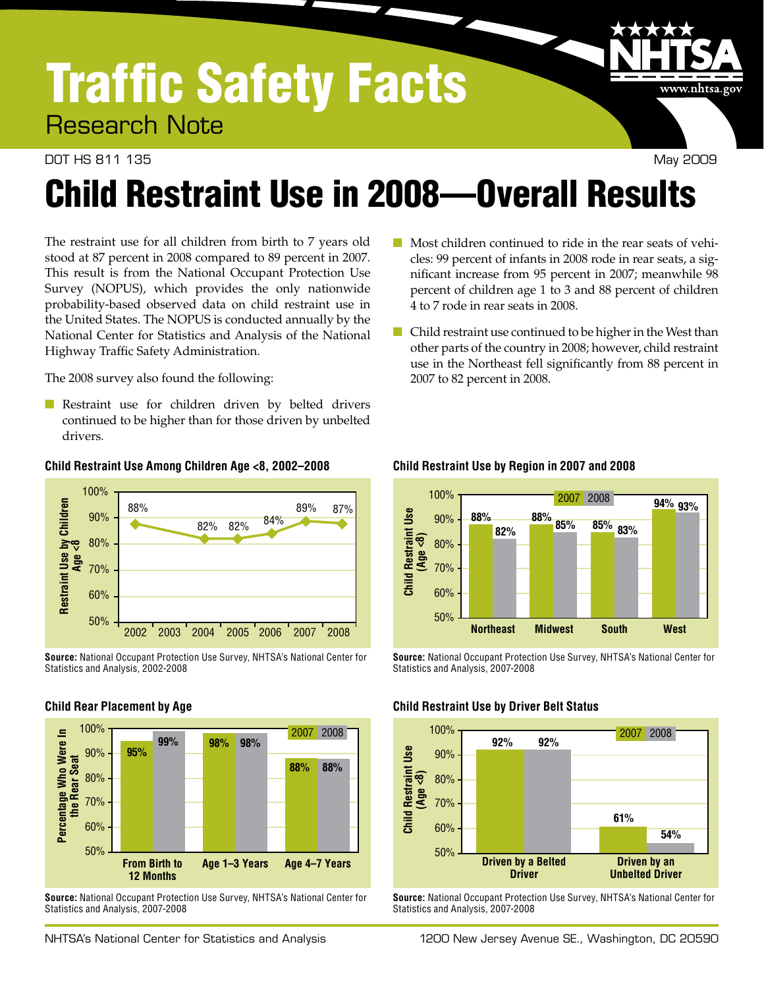# Traffic Safety Facts

Research Note

#### DOT HS 811 135 May 2009

www.nhtsa.gov

# Child Restraint Use in 2008—Overall Results

The restraint use for all children from birth to 7 years old stood at 87 percent in 2008 compared to 89 percent in 2007. This result is from the National Occupant Protection Use Survey (NOPUS), which provides the only nationwide probability-based observed data on child restraint use in the United States. The NOPUS is conducted annually by the National Center for Statistics and Analysis of the National Highway Traffic Safety Administration.

The 2008 survey also found the following:

■ Restraint use for children driven by belted drivers continued to be higher than for those driven by unbelted drivers.

#### **Child Restraint Use Among Children Age <8, 2002–2008**



**Source:** National Occupant Protection Use Survey, NHTSA's National Center for Statistics and Analysis, 2002-2008

#### **Child Rear Placement by Age**



**Source:** National Occupant Protection Use Survey, NHTSA's National Center for Statistics and Analysis, 2007-2008

- Most children continued to ride in the rear seats of vehicles: 99 percent of infants in 2008 rode in rear seats, a significant increase from 95 percent in 2007; meanwhile 98 percent of children age 1 to 3 and 88 percent of children 4 to 7 rode in rear seats in 2008.
- Child restraint use continued to be higher in the West than other parts of the country in 2008; however, child restraint use in the Northeast fell significantly from 88 percent in 2007 to 82 percent in 2008.



#### **Child Restraint Use by Region in 2007 and 2008**

**Source:** National Occupant Protection Use Survey, NHTSA's National Center for Statistics and Analysis, 2007-2008

#### **Child Restraint Use by Driver Belt Status**



**Source:** National Occupant Protection Use Survey, NHTSA's National Center for Statistics and Analysis, 2007-2008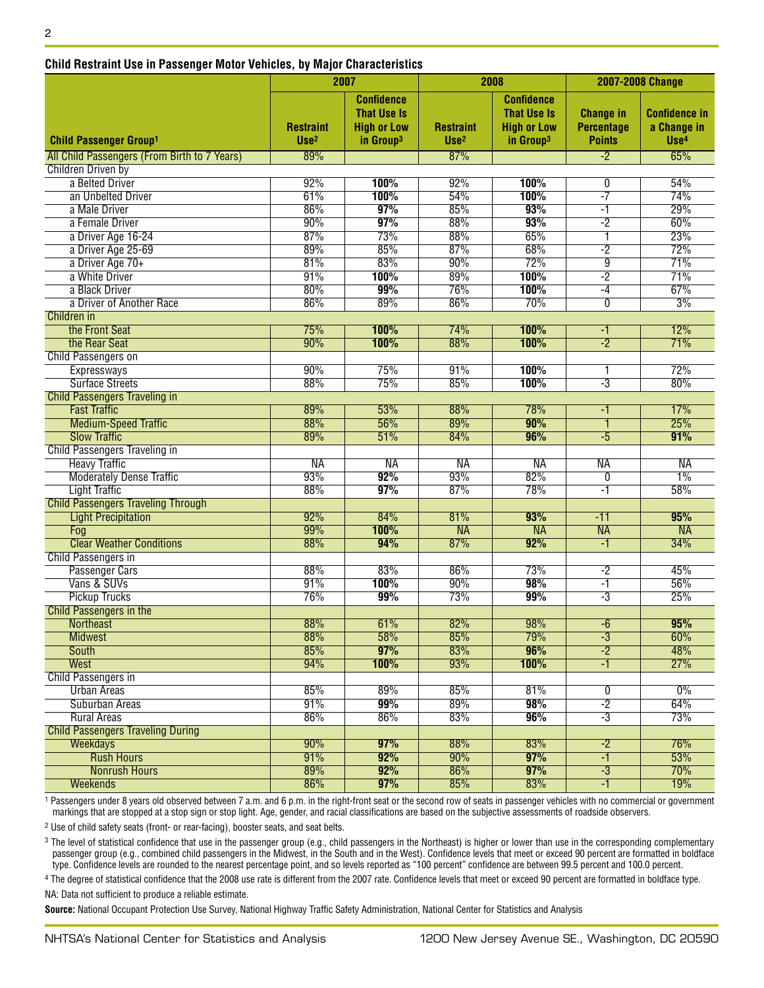| GINIU NESUANII OSE NI FASSENYEI MOLOI VENIGIES, DY MAJOI GNAIAGEISUGS |                                      | 2007<br>2008                                                                           |                                      |                                                                                        | 2007-2008 Change                                       |                                                         |
|-----------------------------------------------------------------------|--------------------------------------|----------------------------------------------------------------------------------------|--------------------------------------|----------------------------------------------------------------------------------------|--------------------------------------------------------|---------------------------------------------------------|
| <b>Child Passenger Group1</b>                                         | <b>Restraint</b><br>Use <sup>2</sup> | <b>Confidence</b><br><b>That Use Is</b><br><b>High or Low</b><br>in Group <sup>3</sup> | <b>Restraint</b><br>Use <sup>2</sup> | <b>Confidence</b><br><b>That Use Is</b><br><b>High or Low</b><br>in Group <sup>3</sup> | <b>Change in</b><br><b>Percentage</b><br><b>Points</b> | <b>Confidence in</b><br>a Change in<br>Use <sup>4</sup> |
| All Child Passengers (From Birth to 7 Years)                          | 89%                                  |                                                                                        | 87%                                  |                                                                                        | $-2$                                                   | 65%                                                     |
| <b>Children Driven by</b>                                             |                                      |                                                                                        |                                      |                                                                                        |                                                        |                                                         |
| a Belted Driver                                                       | 92%                                  | 100%                                                                                   | 92%                                  | 100%                                                                                   | 0                                                      | 54%                                                     |
| an Unbelted Driver                                                    | 61%                                  | 100%                                                                                   | 54%                                  | 100%                                                                                   | $-7$                                                   | 74%                                                     |
| a Male Driver                                                         | 86%                                  | 97%                                                                                    | 85%                                  | 93%                                                                                    | $-1$                                                   | 29%                                                     |
| a Female Driver                                                       | 90%                                  | 97%                                                                                    | 88%                                  | 93%                                                                                    | $-2$                                                   | 60%                                                     |
| a Driver Age 16-24                                                    | 87%                                  | 73%                                                                                    | 88%                                  | 65%                                                                                    | 1                                                      | 23%                                                     |
| a Driver Age 25-69                                                    | 89%                                  | 85%                                                                                    | 87%                                  | 68%                                                                                    | $-2$                                                   | 72%                                                     |
| a Driver Age 70+                                                      | 81%                                  | 83%                                                                                    | 90%                                  | 72%                                                                                    | 9                                                      | 71%                                                     |
| a White Driver                                                        | 91%                                  | 100%                                                                                   | 89%                                  | 100%                                                                                   | $-2$                                                   | 71%                                                     |
| a Black Driver                                                        | 80%                                  | 99%                                                                                    | 76%                                  | 100%                                                                                   | $-4$                                                   | 67%                                                     |
| a Driver of Another Race                                              | 86%                                  | 89%                                                                                    | 86%                                  | 70%                                                                                    | $\overline{0}$                                         | 3%                                                      |
| Children in                                                           |                                      |                                                                                        |                                      |                                                                                        |                                                        |                                                         |
| the Front Seat                                                        | 75%                                  | 100%                                                                                   | 74%                                  | 100%                                                                                   | -1                                                     | 12%                                                     |
| the Rear Seat                                                         | 90%                                  | 100%                                                                                   | 88%                                  | 100%                                                                                   | $-2$                                                   | 71%                                                     |
| <b>Child Passengers on</b>                                            |                                      |                                                                                        |                                      |                                                                                        |                                                        |                                                         |
| Expressways                                                           | 90%                                  | 75%                                                                                    | 91%                                  | 100%                                                                                   |                                                        | 72%                                                     |
| <b>Surface Streets</b>                                                | 88%                                  | 75%                                                                                    | 85%                                  | 100%                                                                                   | $-3$                                                   | 80%                                                     |
| <b>Child Passengers Traveling in</b>                                  |                                      |                                                                                        |                                      |                                                                                        |                                                        |                                                         |
| <b>Fast Traffic</b>                                                   | 89%                                  | 53%                                                                                    | 88%                                  | 78%                                                                                    | -1                                                     | 17%                                                     |
| <b>Medium-Speed Traffic</b>                                           | 88%                                  | 56%                                                                                    | 89%                                  | 90%                                                                                    | 1                                                      | 25%                                                     |
| <b>Slow Traffic</b>                                                   | 89%                                  | 51%                                                                                    | 84%                                  | 96%                                                                                    | $-5$                                                   | 91%                                                     |
| <b>Child Passengers Traveling in</b>                                  |                                      |                                                                                        |                                      |                                                                                        |                                                        |                                                         |
| <b>Heavy Traffic</b>                                                  | <b>NA</b>                            | <b>NA</b>                                                                              | <b>NA</b>                            | <b>NA</b>                                                                              | <b>NA</b>                                              | <b>NA</b>                                               |
| <b>Moderately Dense Traffic</b>                                       | 93%                                  | 92%                                                                                    | 93%                                  | 82%                                                                                    | 0                                                      | $1\%$                                                   |
| <b>Light Traffic</b>                                                  | 88%                                  | 97%                                                                                    | 87%                                  | 78%                                                                                    | -1                                                     | 58%                                                     |
| <b>Child Passengers Traveling Through</b>                             |                                      |                                                                                        |                                      |                                                                                        |                                                        |                                                         |
| <b>Light Precipitation</b>                                            | 92%                                  | 84%                                                                                    | 81%                                  | 93%                                                                                    | $-11$                                                  | 95%                                                     |
| Fog                                                                   | 99%                                  | 100%                                                                                   | <b>NA</b>                            | <b>NA</b>                                                                              | <b>NA</b>                                              | $\overline{\mathsf{NA}}$                                |
| <b>Clear Weather Conditions</b>                                       | 88%                                  | 94%                                                                                    | 87%                                  | 92%                                                                                    | -1                                                     | 34%                                                     |
| <b>Child Passengers in</b>                                            |                                      |                                                                                        |                                      |                                                                                        |                                                        |                                                         |
| <b>Passenger Cars</b>                                                 | 88%                                  | 83%                                                                                    | 86%                                  | 73%                                                                                    | $-2$                                                   | 45%                                                     |
| Vans & SUVs                                                           | 91%                                  | 100%                                                                                   | 90%                                  | 98%                                                                                    | $-1$                                                   | 56%                                                     |
| <b>Pickup Trucks</b>                                                  | 76%                                  | 99%                                                                                    | 73%                                  | 99%                                                                                    | $-3$                                                   | 25%                                                     |
| <b>Child Passengers in the</b>                                        |                                      |                                                                                        |                                      |                                                                                        |                                                        |                                                         |
| Northeast                                                             | 88%                                  | 61%                                                                                    | 82%                                  | 98%                                                                                    | $-6$                                                   | 95%                                                     |
| <b>Midwest</b>                                                        | 88%                                  | 58%                                                                                    | 85%                                  | 79%                                                                                    | $-3$                                                   | 60%                                                     |
| <b>South</b>                                                          | 85%                                  | 97%                                                                                    | 83%                                  | 96%                                                                                    | $-2$                                                   | 48%                                                     |
| <b>West</b>                                                           | 94%                                  |                                                                                        | 93%                                  |                                                                                        | -1                                                     | 27%                                                     |
|                                                                       |                                      | 100%                                                                                   |                                      | 100%                                                                                   |                                                        |                                                         |
| <b>Child Passengers in</b>                                            |                                      |                                                                                        |                                      |                                                                                        |                                                        | 0%                                                      |
| <b>Urban Areas</b>                                                    | 85%                                  | 89%                                                                                    | 85%                                  | 81%                                                                                    | $\overline{0}$                                         |                                                         |
| <b>Suburban Areas</b>                                                 | 91%                                  | 99%                                                                                    | 89%                                  | 98%                                                                                    | $-2$                                                   | 64%                                                     |
| <b>Rural Areas</b>                                                    | 86%                                  | 86%                                                                                    | 83%                                  | 96%                                                                                    | $-3$                                                   | 73%                                                     |
| <b>Child Passengers Traveling During</b>                              |                                      |                                                                                        |                                      |                                                                                        |                                                        |                                                         |
| Weekdays                                                              | 90%                                  | 97%                                                                                    | 88%                                  | 83%                                                                                    | $-2$                                                   | 76%                                                     |
| <b>Rush Hours</b>                                                     | 91%                                  | 92%                                                                                    | 90%                                  | 97%                                                                                    | $-1$                                                   | 53%                                                     |
| <b>Nonrush Hours</b>                                                  | 89%                                  | 92%                                                                                    | 86%                                  | 97%                                                                                    | $-3$                                                   | 70%                                                     |
| <b>Weekends</b>                                                       | 86%                                  | 97%                                                                                    | 85%                                  | 83%                                                                                    | $-1$                                                   | 19%                                                     |

#### **Child Restraint Use in Passenger Motor Vehicles, by Major Characteristics**

1 Passengers under 8 years old observed between 7 a.m. and 6 p.m. in the right-front seat or the second row of seats in passenger vehicles with no commercial or government markings that are stopped at a stop sign or stop light. Age, gender, and racial classifications are based on the subjective assessments of roadside observers.

2 Use of child safety seats (front- or rear-facing), booster seats, and seat belts.

<sup>3</sup> The level of statistical confidence that use in the passenger group (e.g., child passengers in the Northeast) is higher or lower than use in the corresponding complementary passenger group (e.g., combined child passengers in the Midwest, in the South and in the West). Confidence levels that meet or exceed 90 percent are formatted in boldface type. Confidence levels are rounded to the nearest percentage point, and so levels reported as "100 percent" confidence are between 99.5 percent and 100.0 percent.

4 The degree of statistical confidence that the 2008 use rate is different from the 2007 rate. Confidence levels that meet or exceed 90 percent are formatted in boldface type. NA: Data not sufficient to produce a reliable estimate.

**Source:** National Occupant Protection Use Survey, National Highway Traffic Safety Administration, National Center for Statistics and Analysis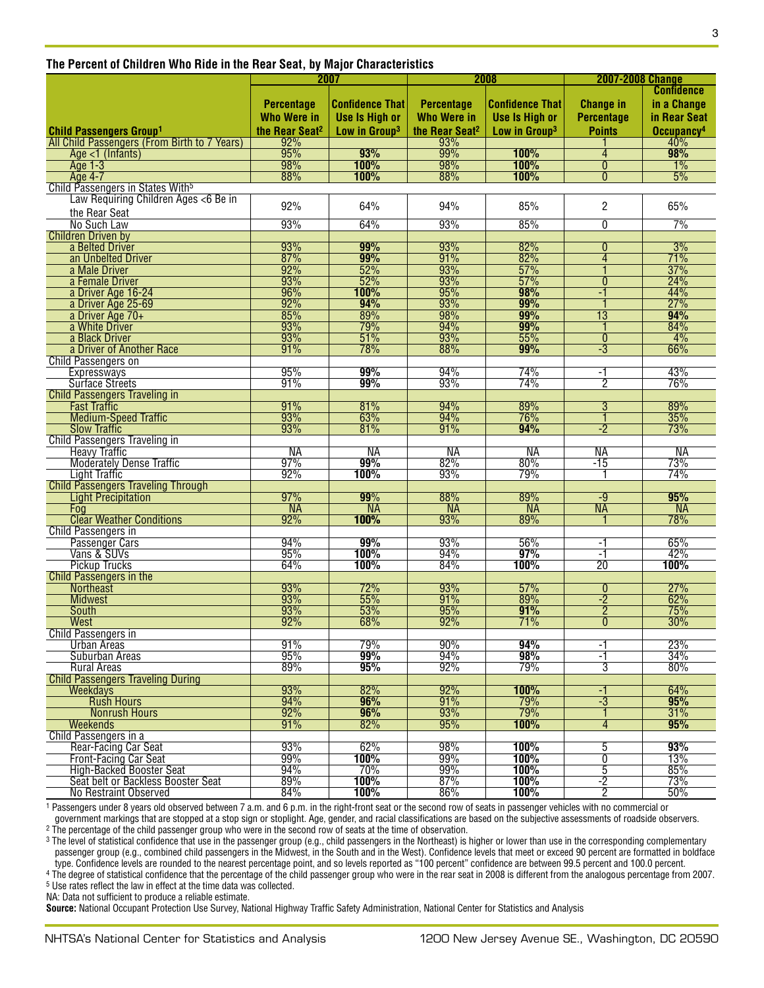| The Percent of Children Who Ride in the Rear Seat, by Major Characteristics |  |
|-----------------------------------------------------------------------------|--|
|-----------------------------------------------------------------------------|--|

|                                                                   | 2007                       |                           | 2008                       |                           | <b>2007-2008 Change</b> |                        |
|-------------------------------------------------------------------|----------------------------|---------------------------|----------------------------|---------------------------|-------------------------|------------------------|
|                                                                   |                            |                           |                            |                           |                         | <b>Confidence</b>      |
|                                                                   | <b>Percentage</b>          | <b>Confidence That</b>    | <b>Percentage</b>          | <b>Confidence That</b>    | <b>Change in</b>        | in a Change            |
|                                                                   |                            |                           |                            |                           |                         |                        |
|                                                                   | <b>Who Were in</b>         | <b>Use Is High or</b>     | <b>Who Were in</b>         | <b>Use Is High or</b>     | <b>Percentage</b>       | in Rear Seat           |
| <b>Child Passengers Group1</b>                                    | the Rear Seat <sup>2</sup> | Low in Group <sup>3</sup> | the Rear Seat <sup>2</sup> | Low in Group <sup>3</sup> | <b>Points</b>           | Occupancy <sup>4</sup> |
| All Child Passengers (From Birth to 7 Years)                      | 92%                        |                           | 93%                        |                           |                         | 40%                    |
| Age <1 (Infants)                                                  | $\frac{1}{95\%}$           | 93%                       | 99%                        | 100%                      | 4                       | 98%                    |
| Age 1-3                                                           | 98%                        | 100%                      | 98%                        | 100%                      | $\overline{0}$          | 1%                     |
| Age 4-7                                                           | 88%                        | 100%                      | 88%                        | 100%                      | 0                       | 5%                     |
| Child Passengers in States With <sup>5</sup>                      |                            |                           |                            |                           |                         |                        |
| Law Requiring Children Ages <6 Be in                              |                            |                           |                            |                           |                         |                        |
| the Rear Seat                                                     | 92%                        | 64%                       | 94%                        | 85%                       | $\overline{c}$          | 65%                    |
| No Such Law                                                       | 93%                        | 64%                       | 93%                        | 85%                       | $\overline{0}$          | 7%                     |
| <b>Children Driven by</b>                                         |                            |                           |                            |                           |                         |                        |
| a Belted Driver                                                   | 93%                        | 99%                       | 93%                        | 82%                       | $\overline{0}$          | 3%                     |
| an Unbelted Driver                                                | 87%                        | 99%                       | 91%                        | 82%                       | 4                       | 71%                    |
| a Male Driver                                                     | 92%                        | 52%                       | 93%                        | 57%                       |                         | 37%                    |
| a Female Driver                                                   | 93%                        | 52%                       | 93%                        | 57%                       | $\mathbf{0}$            | 24%                    |
| a Driver Age 16-24                                                | 96%                        | 100%                      | 95%                        | 98%                       | -1                      | 44%                    |
| a Driver Age 25-69                                                |                            | 94%                       | 93%                        | 99%                       |                         | 27%                    |
| a Driver Age 70+                                                  | $\frac{92\%}{85\%}$        | 89%                       | 98%                        | 99%                       | $\overline{13}$         | 94%                    |
| a White Driver                                                    |                            | 79%                       | 94%                        | 99%                       |                         | 84%                    |
| a Black Driver                                                    | 93%                        | 51%                       | 93%                        | 55%                       | $\overline{0}$          | 4%                     |
| a Driver of Another Race                                          | 91%                        | 78%                       | 88%                        | 99%                       | $-3$                    | 66%                    |
| <b>Child Passengers on</b>                                        |                            |                           |                            |                           |                         |                        |
| <b>Expressways</b>                                                | 95%                        | 99%                       | 94%                        | 74%                       | -1                      | 43%                    |
| <b>Surface Streets</b>                                            | 91%                        | 99%                       | 93%                        | 74%                       | $\overline{2}$          | 76%                    |
| <b>Child Passengers Traveling in</b>                              |                            |                           |                            |                           |                         |                        |
| <b>Fast Traffic</b>                                               | 91%                        | 81%                       | 94%                        | 89%                       | $\overline{3}$          | 89%                    |
| <b>Medium-Speed Traffic</b>                                       | 93%                        | 63%                       | 94%                        | 76%                       | 1                       | 35%                    |
| <b>Slow Traffic</b>                                               | 93%                        | 81%                       | 91%                        | 94%                       | $-2$                    | 73%                    |
| <b>Child Passengers Traveling in</b>                              |                            |                           |                            |                           |                         |                        |
| <b>Heavy Traffic</b>                                              | <b>NA</b>                  | NA                        | NA                         | <b>NA</b>                 | NА                      | NA                     |
|                                                                   | 97%                        | 99%                       | 82%                        | 80%                       | $-15$                   | 73%                    |
| <b>Moderately Dense Traffic</b>                                   | 92%                        | 100%                      | 93%                        | 79%                       |                         | 74%                    |
| <b>Light Traffic</b><br><b>Child Passengers Traveling Through</b> |                            |                           |                            |                           |                         |                        |
| <b>Light Precipitation</b>                                        | 97%                        | 99%                       | 88%                        | 89%                       | $-9$                    | 95%                    |
| Foa                                                               | <b>NA</b>                  | <b>NA</b>                 | <b>NA</b>                  | <b>NA</b>                 | <b>NA</b>               | <b>NA</b>              |
| <b>Clear Weather Conditions</b>                                   | 92%                        | 100%                      | 93%                        | 89%                       |                         | 78%                    |
| <b>Child Passengers in</b>                                        |                            |                           |                            |                           |                         |                        |
| Passenger Cars                                                    | 94%                        | 99%                       | 93%                        | 56%                       | -1                      | 65%                    |
| Vans & SUVs                                                       | 95%                        | 100%                      | 94%                        | 97%                       | -1                      | 42%                    |
| <b>Pickup Trucks</b>                                              | 64%                        | 100%                      | 84%                        | 100%                      | 20                      | 100%                   |
| <b>Child Passengers in the</b>                                    |                            |                           |                            |                           |                         |                        |
| <b>Northeast</b>                                                  | 93%                        | 72%                       | 93%                        | 57%                       | $\mathbf{0}$            | 27%                    |
| <b>Midwest</b>                                                    |                            | 55%                       | 91%                        | 89%                       | $\overline{2}$          | 62%                    |
|                                                                   | 93%                        | 53%                       | 95%                        | 91%                       | $\overline{2}$          | 75%                    |
| South<br><b>West</b>                                              | 92%                        | 68%                       | 92%                        | 71%                       | $\overline{0}$          | 30%                    |
|                                                                   |                            |                           |                            |                           |                         |                        |
| <b>Child Passengers in</b>                                        | 91%                        | 79%                       | 90%                        | 94%                       |                         | 23%                    |
| Urban Areas<br>Suburban Areas                                     | 95%                        | 99%                       |                            | 98%                       | -1<br>-1                | 34%                    |
| <b>Rural Areas</b>                                                | 89%                        | 95%                       | 94%<br>92%                 | 79%                       | 3                       |                        |
|                                                                   |                            |                           |                            |                           |                         | 80%                    |
| <b>Child Passengers Traveling During</b>                          |                            |                           |                            |                           |                         |                        |
| Weekdays                                                          | 93%                        | 82%                       | 92%                        | 100%                      | -1                      | 64%                    |
| <b>Rush Hours</b>                                                 | 94%                        | 96%                       | 91%                        | 79%                       | $-3$                    | 95%                    |
| <b>Nonrush Hours</b>                                              | 92%                        | 96%                       | 93%                        | 79%                       |                         | 31%                    |
| <b>Weekends</b>                                                   | 91%                        | 82%                       | 95%                        | 100%                      | 4                       | 95%                    |
| Child Passengers in a                                             |                            |                           |                            |                           |                         |                        |
| Rear-Facing Car Seat                                              | 93%                        | 62%                       | 98%                        | 100%                      | 5                       | 93%                    |
| Front-Facing Car Seat                                             | 99%                        | 100%                      | 99%                        | 100%                      | $\overline{0}$          | 13%                    |
| High-Backed Booster Seat                                          | 94%                        | 70%                       | 99%                        | 100%                      | 5                       | 85%                    |
| Seat belt or Backless Booster Seat                                | 89%                        | 100%                      | 87%                        | 100%                      | $-2$                    | 73%                    |
| No Restraint Observed                                             | 84%                        | 100%                      | 86%                        | 100%                      | $\overline{2}$          | 50%                    |

1 Passengers under 8 years old observed between 7 a.m. and 6 p.m. in the right-front seat or the second row of seats in passenger vehicles with no commercial or government markings that are stopped at a stop sign or stoplight. Age, gender, and racial classifications are based on the subjective assessments of roadside observers.<br><sup>2</sup> The percentage of the child passenger group who w

<sup>3</sup> The level of statistical confidence that use in the passenger group (e.g., child passengers in the Northeast) is higher or lower than use in the corresponding complementary passenger group (e.g., combined child passengers in the Midwest, in the South and in the West). Confidence levels that meet or exceed 90 percent are formatted in boldface type. Confidence levels are rounded to the nearest percentage point, and so levels reported as "100 percent" confidence are between 99.5 percent and 100.0 percent.

4 The degree of statistical confidence that the percentage of the child passenger group who were in the rear seat in 2008 is different from the analogous percentage from 2007. 5 Use rates reflect the law in effect at the time data was collected.

NA: Data not sufficient to produce a reliable estimate.

**Source:** National Occupant Protection Use Survey, National Highway Traffic Safety Administration, National Center for Statistics and Analysis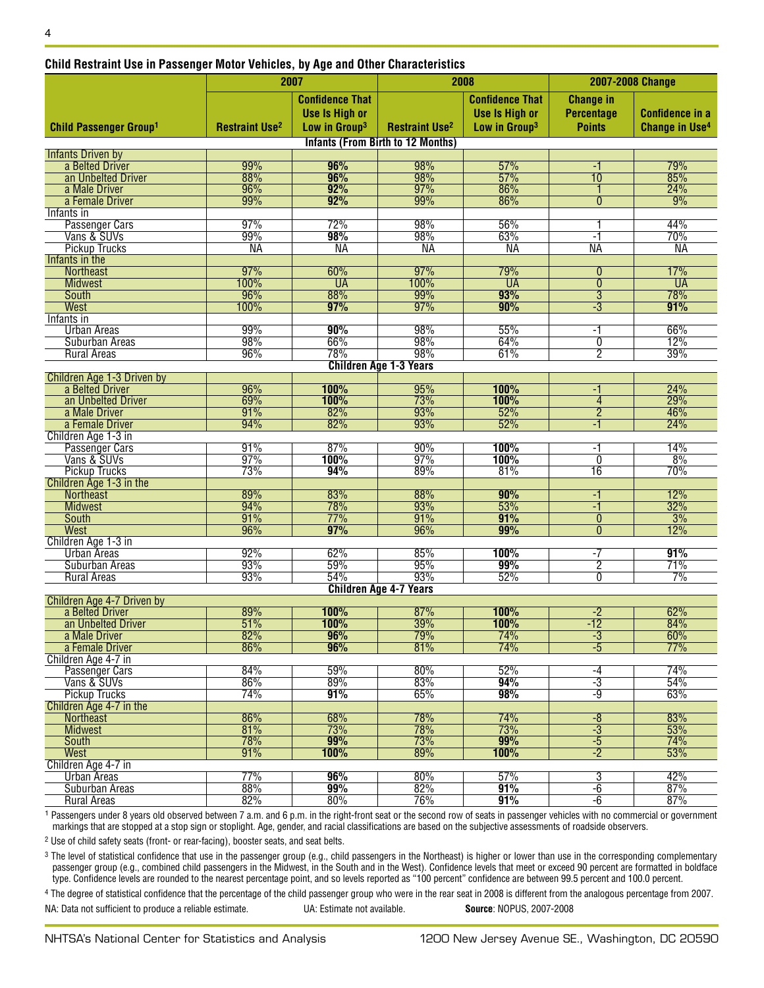| Child Restraint Use in Passenger Motor Vehicles, by Age and Uther Characteristics |                                  |                                                                              |                                          |                                                                              |                                                        |                                                 |
|-----------------------------------------------------------------------------------|----------------------------------|------------------------------------------------------------------------------|------------------------------------------|------------------------------------------------------------------------------|--------------------------------------------------------|-------------------------------------------------|
|                                                                                   |                                  | 2007                                                                         |                                          | 2008                                                                         | 2007-2008 Change                                       |                                                 |
| <b>Child Passenger Group1</b>                                                     | <b>Restraint Use<sup>2</sup></b> | <b>Confidence That</b><br><b>Use Is High or</b><br>Low in Group <sup>3</sup> | <b>Restraint Use<sup>2</sup></b>         | <b>Confidence That</b><br><b>Use Is High or</b><br>Low in Group <sup>3</sup> | <b>Change in</b><br><b>Percentage</b><br><b>Points</b> | <b>Confidence in a</b><br><b>Change in Use4</b> |
|                                                                                   |                                  |                                                                              | <b>Infants (From Birth to 12 Months)</b> |                                                                              |                                                        |                                                 |
| <b>Infants Driven by</b>                                                          |                                  |                                                                              |                                          |                                                                              |                                                        |                                                 |
| a Belted Driver                                                                   | 99%                              | 96%                                                                          | 98%                                      | 57%                                                                          | -1                                                     | 79%                                             |
| an Unbelted Driver                                                                | 88%                              | 96%                                                                          | 98%                                      | 57%                                                                          | $\overline{10}$                                        | 85%                                             |
| a Male Driver<br>a Female Driver                                                  | 96%<br>99%                       | 92%<br>92%                                                                   | 97%<br>99%                               | 86%<br>86%                                                                   | $\overline{0}$                                         | 24%<br>9%                                       |
| Infants in                                                                        |                                  |                                                                              |                                          |                                                                              |                                                        |                                                 |
| Passenger Cars                                                                    | 97%                              | 72%                                                                          | 98%                                      | 56%                                                                          |                                                        | 44%                                             |
| Vans & SUVs                                                                       | 99%                              | 98%                                                                          | 98%                                      | 63%                                                                          | -1                                                     | 70%                                             |
| <b>Pickup Trucks</b>                                                              | NА                               | <b>NA</b>                                                                    | <b>NA</b>                                | <b>NA</b>                                                                    | <b>NA</b>                                              | <b>NA</b>                                       |
| Infants in the                                                                    |                                  |                                                                              |                                          |                                                                              |                                                        |                                                 |
| Northeast                                                                         | 97%                              | 60%                                                                          | 97%                                      | 79%                                                                          | $\overline{0}$                                         | 17%                                             |
| <b>Midwest</b>                                                                    | 100%                             | <b>UA</b>                                                                    | 100%                                     | <b>UA</b>                                                                    | $\overline{0}$                                         | <b>UA</b>                                       |
| <b>South</b><br>West                                                              | 96%<br>100%                      | 88%<br>97%                                                                   | 99%<br>97%                               | 93%<br>90%                                                                   | $\overline{3}$<br>$\overline{-3}$                      | 78%<br>91%                                      |
| Infants in                                                                        |                                  |                                                                              |                                          |                                                                              |                                                        |                                                 |
| <b>Urban Areas</b>                                                                | 99%                              | 90%                                                                          | 98%                                      | 55%                                                                          | -1                                                     | 66%                                             |
| Suburban Areas                                                                    | 98%                              | 66%                                                                          | 98%                                      | 64%                                                                          | $\overline{0}$                                         | 12%                                             |
| <b>Rural Areas</b>                                                                | 96%                              | 78%                                                                          | 98%                                      | 61%                                                                          | $\overline{2}$                                         | 39%                                             |
|                                                                                   |                                  |                                                                              | <b>Children Age 1-3 Years</b>            |                                                                              |                                                        |                                                 |
| Children Age 1-3 Driven by                                                        |                                  |                                                                              |                                          |                                                                              |                                                        |                                                 |
| a Belted Driver                                                                   | 96%                              | 100%                                                                         | 95%                                      | 100%                                                                         | -1                                                     | 24%                                             |
| an Unbelted Driver                                                                | 69%                              | 100%                                                                         | 73%                                      | 100%                                                                         | $\overline{4}$                                         | 29%                                             |
| a Male Driver<br>a Female Driver                                                  | 91%<br>94%                       | 82%<br>82%                                                                   | 93%<br>93%                               | 52%<br>52%                                                                   | $\overline{2}$<br>-1                                   | 46%<br>24%                                      |
| Children Age 1-3 in                                                               |                                  |                                                                              |                                          |                                                                              |                                                        |                                                 |
| Passenger Cars                                                                    | 91%                              | 87%                                                                          | 90%                                      | 100%                                                                         | -1                                                     | 14%                                             |
| Vans & SUVs                                                                       | 97%                              | 100%                                                                         | 97%                                      | 100%                                                                         | $\mathbf{0}$                                           | 8%                                              |
| <b>Pickup Trucks</b>                                                              | 73%                              | 94%                                                                          | 89%                                      | 81%                                                                          | 16                                                     | 70%                                             |
| Children Age 1-3 in the                                                           |                                  |                                                                              |                                          |                                                                              |                                                        |                                                 |
| <b>Northeast</b>                                                                  | 89%                              | 83%                                                                          | 88%                                      | 90%                                                                          | $-1$                                                   | 12%                                             |
| <b>Midwest</b>                                                                    | 94%                              | 78%                                                                          | 93%                                      | 53%                                                                          | $-1$                                                   | 32%                                             |
| <b>South</b><br><b>West</b>                                                       | 91%<br>96%                       | 77%<br>97%                                                                   | 91%<br>96%                               | 91%<br>99%                                                                   | $\bf{0}$<br>$\overline{0}$                             | 3%<br>12%                                       |
| Children Age 1-3 in                                                               |                                  |                                                                              |                                          |                                                                              |                                                        |                                                 |
| <b>Urban Areas</b>                                                                | 92%                              | 62%                                                                          | 85%                                      | 100%                                                                         | $-7$                                                   | 91%                                             |
| <b>Suburban Areas</b>                                                             | 93%                              | 59%                                                                          | 95%                                      | 99%                                                                          | $\overline{2}$                                         | 71%                                             |
| <b>Rural Areas</b>                                                                | 93%                              | 54%                                                                          | 93%                                      | 52%                                                                          | $\overline{0}$                                         | 7%                                              |
|                                                                                   |                                  |                                                                              | <b>Children Age 4-7 Years</b>            |                                                                              |                                                        |                                                 |
| Children Age 4-7 Driven by                                                        |                                  |                                                                              |                                          |                                                                              |                                                        |                                                 |
| a Belted Driver                                                                   | 89%                              | 100%                                                                         | 87%                                      | 100%                                                                         | $-2$                                                   | 62%                                             |
| an Unbelted Driver<br>a Male Driver                                               | 51%<br>82%                       | 1UU%<br>96%                                                                  | 39%<br>79%                               | 1 UU ‰<br>74%                                                                | -12<br>$-3$                                            | 84%<br>60%                                      |
| a Female Driver                                                                   | 86%                              | 96%                                                                          | 81%                                      | 74%                                                                          | $-5$                                                   | 77%                                             |
| Children Age 4-7 in                                                               |                                  |                                                                              |                                          |                                                                              |                                                        |                                                 |
| <b>Passenger Cars</b>                                                             | 84%                              | 59%                                                                          | 80%                                      | 52%                                                                          | $-4$                                                   | 74%                                             |
| Vans & SUVs                                                                       | 86%                              | 89%                                                                          | 83%                                      | 94%                                                                          | $-3$                                                   | 54%                                             |
| <b>Pickup Trucks</b>                                                              | 74%                              | 91%                                                                          | 65%                                      | 98%                                                                          | -9                                                     | 63%                                             |
| Children Age 4-7 in the                                                           |                                  |                                                                              |                                          |                                                                              |                                                        |                                                 |
| <b>Northeast</b>                                                                  | 86%                              | 68%                                                                          | 78%                                      | 74%                                                                          | $-\sqrt{8}$                                            | 83%                                             |
| <b>Midwest</b>                                                                    | 81%                              | 73%                                                                          | 78%                                      | 73%                                                                          | $-3$                                                   | 53%                                             |
| <b>South</b>                                                                      | 78%                              | 99%<br><b>100%</b>                                                           | 73%<br>89%                               | 99%<br>100%                                                                  | $-5$<br>$-2$                                           | 74%                                             |
| <b>West</b><br>Children Age 4-7 in                                                | 91%                              |                                                                              |                                          |                                                                              |                                                        | 53%                                             |
| <b>Urban Areas</b>                                                                | 77%                              | 96%                                                                          | 80%                                      | 57%                                                                          | $\overline{3}$                                         | 42%                                             |
| Suburban Areas                                                                    | 88%                              | 99%                                                                          | 82%                                      | 91%                                                                          | $-6$                                                   | 87%                                             |
| <b>Rural Areas</b>                                                                | 82%                              | 80%                                                                          | 76%                                      | 91%                                                                          | $-6$                                                   | 87%                                             |

#### **Child Restraint Use in Passenger Motor Vehicles, by Age and Other Characteristics**

<sup>1</sup> Passengers under 8 years old observed between 7 a.m. and 6 p.m. in the right-front seat or the second row of seats in passenger vehicles with no commercial or government markings that are stopped at a stop sign or stoplight. Age, gender, and racial classifications are based on the subjective assessments of roadside observers.

2 Use of child safety seats (front- or rear-facing), booster seats, and seat belts.

<sup>3</sup> The level of statistical confidence that use in the passenger group (e.g., child passengers in the Northeast) is higher or lower than use in the corresponding complementary passenger group (e.g., combined child passengers in the Midwest, in the South and in the West). Confidence levels that meet or exceed 90 percent are formatted in boldface type. Confidence levels are rounded to the nearest percentage point, and so levels reported as "100 percent" confidence are between 99.5 percent and 100.0 percent.

4 The degree of statistical confidence that the percentage of the child passenger group who were in the rear seat in 2008 is different from the analogous percentage from 2007.

NA: Data not sufficient to produce a reliable estimate. UA: Estimate not available. **Source**: NOPUS, 2007-2008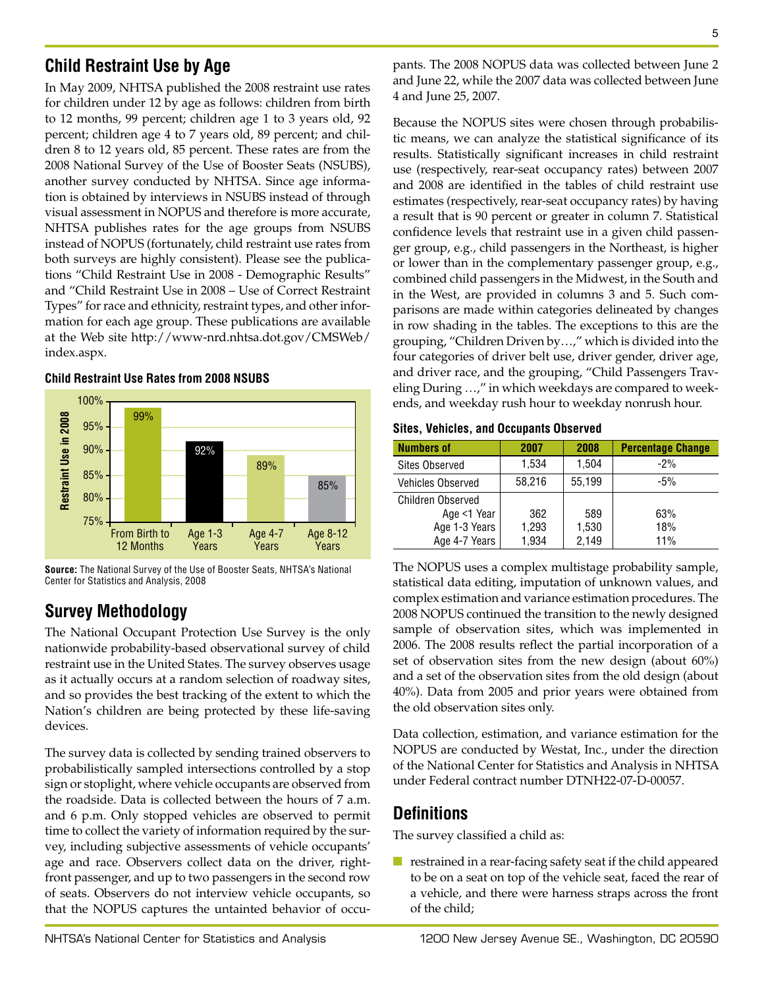# **Child Restraint Use by Age**

In May 2009, NHTSA published the 2008 restraint use rates for children under 12 by age as follows: children from birth to 12 months, 99 percent; children age 1 to 3 years old, 92 percent; children age 4 to 7 years old, 89 percent; and children 8 to 12 years old, 85 percent. These rates are from the 2008 National Survey of the Use of Booster Seats (NSUBS), another survey conducted by NHTSA. Since age information is obtained by interviews in NSUBS instead of through visual assessment in NOPUS and therefore is more accurate, NHTSA publishes rates for the age groups from NSUBS instead of NOPUS (fortunately, child restraint use rates from both surveys are highly consistent). Please see the publications "Child Restraint Use in 2008 - Demographic Results" and "Child Restraint Use in 2008 – Use of Correct Restraint Types" for race and ethnicity, restraint types, and other information for each age group. These publications are available at the Web site http://www-nrd.nhtsa.dot.gov/CMSWeb/ index.aspx.

#### **Child Restraint Use Rates from 2008 NSUBS**



**Source:** The National Survey of the Use of Booster Seats, NHTSA's National Center for Statistics and Analysis, 2008

# **Survey Methodology**

The National Occupant Protection Use Survey is the only nationwide probability-based observational survey of child restraint use in the United States. The survey observes usage as it actually occurs at a random selection of roadway sites, and so provides the best tracking of the extent to which the Nation's children are being protected by these life-saving devices.

The survey data is collected by sending trained observers to probabilistically sampled intersections controlled by a stop sign or stoplight, where vehicle occupants are observed from the roadside. Data is collected between the hours of 7 a.m. and 6 p.m. Only stopped vehicles are observed to permit time to collect the variety of information required by the survey, including subjective assessments of vehicle occupants' age and race. Observers collect data on the driver, rightfront passenger, and up to two passengers in the second row of seats. Observers do not interview vehicle occupants, so that the NOPUS captures the untainted behavior of occu5

pants. The 2008 NOPUS data was collected between June 2 and June 22, while the 2007 data was collected between June 4 and June 25, 2007.

Because the NOPUS sites were chosen through probabilistic means, we can analyze the statistical significance of its results. Statistically significant increases in child restraint use (respectively, rear-seat occupancy rates) between 2007 and 2008 are identified in the tables of child restraint use estimates (respectively, rear-seat occupancy rates) by having a result that is 90 percent or greater in column 7. Statistical confidence levels that restraint use in a given child passenger group, e.g., child passengers in the Northeast, is higher or lower than in the complementary passenger group, e.g., combined child passengers in the Midwest, in the South and in the West, are provided in columns 3 and 5. Such comparisons are made within categories delineated by changes in row shading in the tables. The exceptions to this are the grouping, "Children Driven by…," which is divided into the four categories of driver belt use, driver gender, driver age, and driver race, and the grouping, "Child Passengers Traveling During …," in which weekdays are compared to weekends, and weekday rush hour to weekday nonrush hour.

#### **Sites, Vehicles, and Occupants Observed**

| <b>Numbers of</b>        | 2007   | 2008   | <b>Percentage Change</b> |
|--------------------------|--------|--------|--------------------------|
| <b>Sites Observed</b>    | 1,534  | 1,504  | $-2%$                    |
| <b>Vehicles Observed</b> | 58,216 | 55.199 | $-5%$                    |
| <b>Children Observed</b> |        |        |                          |
| Age <1 Year              | 362    | 589    | 63%                      |
| Age 1-3 Years            | 1,293  | 1,530  | 18%                      |
| Age 4-7 Years            | 1,934  | 2,149  | 11%                      |

The NOPUS uses a complex multistage probability sample, statistical data editing, imputation of unknown values, and complex estimation and variance estimation procedures. The 2008 NOPUS continued the transition to the newly designed sample of observation sites, which was implemented in 2006. The 2008 results reflect the partial incorporation of a set of observation sites from the new design (about 60%) and a set of the observation sites from the old design (about 40%). Data from 2005 and prior years were obtained from the old observation sites only.

Data collection, estimation, and variance estimation for the NOPUS are conducted by Westat, Inc., under the direction of the National Center for Statistics and Analysis in NHTSA under Federal contract number DTNH22-07-D-00057.

## **Definitions**

The survey classified a child as:

■ restrained in a rear-facing safety seat if the child appeared to be on a seat on top of the vehicle seat, faced the rear of a vehicle, and there were harness straps across the front of the child;